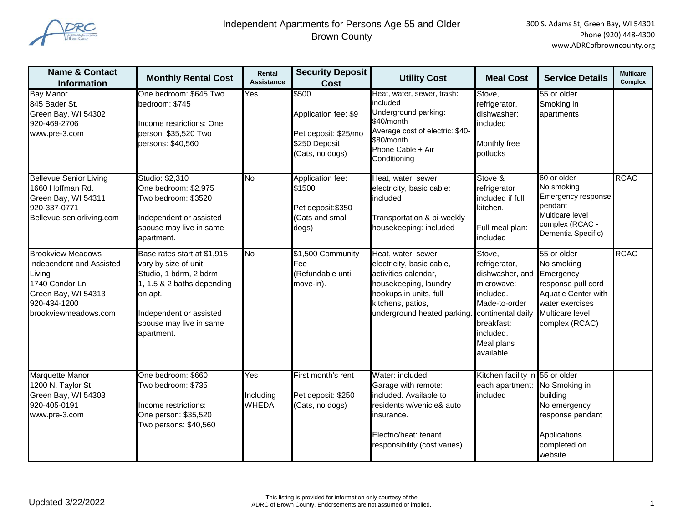

| <b>Name &amp; Contact</b><br><b>Information</b>                                                                                                  | <b>Monthly Rental Cost</b>                                                                                                                                                                  | Rental<br><b>Assistance</b>      | <b>Security Deposit</b><br>Cost                                                           | <b>Utility Cost</b>                                                                                                                                                             | <b>Meal Cost</b>                                                                                                                                                             | <b>Service Details</b>                                                                                                                | <b>Multicare</b><br><b>Complex</b> |
|--------------------------------------------------------------------------------------------------------------------------------------------------|---------------------------------------------------------------------------------------------------------------------------------------------------------------------------------------------|----------------------------------|-------------------------------------------------------------------------------------------|---------------------------------------------------------------------------------------------------------------------------------------------------------------------------------|------------------------------------------------------------------------------------------------------------------------------------------------------------------------------|---------------------------------------------------------------------------------------------------------------------------------------|------------------------------------|
| <b>Bay Manor</b><br>845 Bader St.<br>Green Bay, WI 54302<br>920-469-2706<br>www.pre-3.com                                                        | One bedroom: \$645 Two<br>bedroom: \$745<br>Income restrictions: One<br>person: \$35,520 Two<br>persons: \$40,560                                                                           | Yes                              | \$500<br>Application fee: \$9<br>Pet deposit: \$25/mo<br>\$250 Deposit<br>(Cats, no dogs) | Heat, water, sewer, trash:<br>included<br>Underground parking:<br>\$40/month<br>Average cost of electric: \$40-<br>\$80/month<br>Phone Cable + Air<br>Conditioning              | Stove,<br>refrigerator,<br>dishwasher:<br>included<br>Monthly free<br>potlucks                                                                                               | 55 or older<br>Smoking in<br>apartments                                                                                               |                                    |
| <b>Bellevue Senior Living</b><br>1660 Hoffman Rd.<br>Green Bay, WI 54311<br>920-337-0771<br>Bellevue-seniorliving.com                            | Studio: \$2,310<br>One bedroom: \$2,975<br>Two bedroom: \$3520<br>Independent or assisted<br>spouse may live in same<br>apartment.                                                          | No                               | Application fee:<br>\$1500<br>Pet deposit: \$350<br>(Cats and small<br>dogs)              | Heat, water, sewer,<br>electricity, basic cable:<br>included<br>Transportation & bi-weekly<br>housekeeping: included                                                            | Stove &<br>refrigerator<br>included if full<br>kitchen.<br>Full meal plan:<br>included                                                                                       | 60 or older<br>No smoking<br>Emergency response<br>pendant<br>Multicare level<br>complex (RCAC -<br>Dementia Specific)                | <b>RCAC</b>                        |
| <b>Brookview Meadows</b><br>Independent and Assisted<br>Living<br>1740 Condor Ln.<br>Green Bay, WI 54313<br>920-434-1200<br>brookviewmeadows.com | Base rates start at \$1,915<br>vary by size of unit.<br>Studio, 1 bdrm, 2 bdrm<br>1, 1.5 & 2 baths depending<br>on apt.<br>Independent or assisted<br>spouse may live in same<br>apartment. | No                               | \$1,500 Community<br>Fee<br>(Refundable until<br>move-in).                                | Heat, water, sewer,<br>electricity, basic cable,<br>activities calendar,<br>housekeeping, laundry<br>hookups in units, full<br>kitchens, patios,<br>underground heated parking. | Stove,<br>refrigerator,<br>dishwasher, and Emergency<br>microwave:<br>included.<br>Made-to-order<br>continental daily<br>breakfast:<br>included.<br>Meal plans<br>available. | 55 or older<br>No smoking<br>response pull cord<br><b>Aquatic Center with</b><br>water exercises<br>Multicare level<br>complex (RCAC) | <b>RCAC</b>                        |
| Marquette Manor<br>1200 N. Taylor St.<br>Green Bay, WI 54303<br>920-405-0191<br>www.pre-3.com                                                    | One bedroom: \$660<br>Two bedroom: \$735<br>Income restrictions:<br>One person: \$35,520<br>Two persons: \$40,560                                                                           | Yes<br>Including<br><b>WHEDA</b> | First month's rent<br>Pet deposit: \$250<br>(Cats, no dogs)                               | Water: included<br>Garage with remote:<br>included. Available to<br>residents w/vehicle& auto<br>insurance.<br>Electric/heat: tenant<br>responsibility (cost varies)            | Kitchen facility in 55 or older<br>each apartment:<br>included                                                                                                               | No Smoking in<br>building<br>No emergency<br>response pendant<br>Applications<br>completed on<br>website.                             |                                    |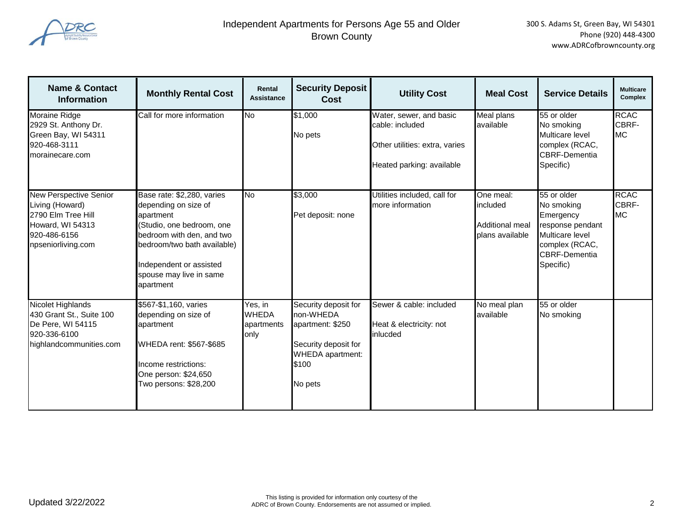

| <b>Name &amp; Contact</b><br><b>Information</b>                                                                                  | <b>Monthly Rental Cost</b>                                                                                                                                                                                                  | Rental<br><b>Assistance</b>                   | <b>Security Deposit</b><br>Cost                                                                                       | <b>Utility Cost</b>                                                                                       | <b>Meal Cost</b>                                            | <b>Service Details</b>                                                                                                               | <b>Multicare</b><br>Complex       |
|----------------------------------------------------------------------------------------------------------------------------------|-----------------------------------------------------------------------------------------------------------------------------------------------------------------------------------------------------------------------------|-----------------------------------------------|-----------------------------------------------------------------------------------------------------------------------|-----------------------------------------------------------------------------------------------------------|-------------------------------------------------------------|--------------------------------------------------------------------------------------------------------------------------------------|-----------------------------------|
| <b>Moraine Ridge</b><br>2929 St. Anthony Dr.<br>Green Bay, WI 54311<br>920-468-3111<br>morainecare.com                           | Call for more information                                                                                                                                                                                                   | No                                            | \$1,000<br>No pets                                                                                                    | Water, sewer, and basic<br>cable: included<br>Other utilities: extra, varies<br>Heated parking: available | <b>Meal plans</b><br>available                              | 55 or older<br>No smoking<br>Multicare level<br>complex (RCAC,<br><b>CBRF-Dementia</b><br>Specific)                                  | <b>RCAC</b><br>CBRF-<br><b>MC</b> |
| <b>New Perspective Senior</b><br>Living (Howard)<br>2790 Elm Tree Hill<br>Howard, WI 54313<br>920-486-6156<br>npseniorliving.com | Base rate: \$2,280, varies<br>depending on size of<br>apartment<br>(Studio, one bedroom, one<br>bedroom with den, and two<br>bedroom/two bath available)<br>Independent or assisted<br>spouse may live in same<br>apartment | <b>No</b>                                     | \$3,000<br>Pet deposit: none                                                                                          | Utilities included, call for<br>more information                                                          | One meal:<br>included<br>Additional meal<br>plans available | 55 or older<br>No smoking<br>Emergency<br>response pendant<br>Multicare level<br>complex (RCAC,<br><b>CBRF-Dementia</b><br>Specific) | <b>RCAC</b><br>CBRF-<br><b>MC</b> |
| Nicolet Highlands<br>430 Grant St., Suite 100<br>De Pere, WI 54115<br>920-336-6100<br>highlandcommunities.com                    | \$567-\$1,160, varies<br>depending on size of<br>apartment<br>WHEDA rent: \$567-\$685<br>Income restrictions:<br>One person: \$24,650<br>Two persons: \$28,200                                                              | Yes, in<br><b>WHEDA</b><br>apartments<br>only | Security deposit for<br>non-WHEDA<br>apartment: \$250<br>Security deposit for<br>WHEDA apartment:<br>\$100<br>No pets | Sewer & cable: included<br>Heat & electricity: not<br>inlucded                                            | No meal plan<br>available                                   | 55 or older<br>No smoking                                                                                                            |                                   |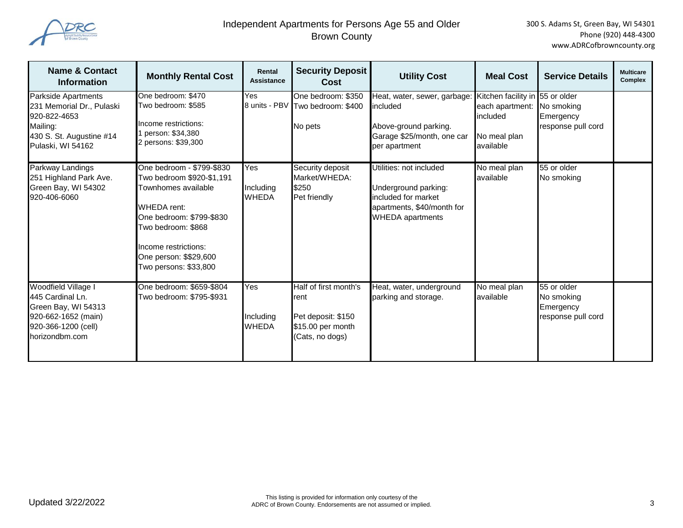

| <b>Name &amp; Contact</b><br><b>Information</b>                                                                                | <b>Monthly Rental Cost</b>                                                                                                                                                                                                       | Rental<br><b>Assistance</b>      | <b>Security Deposit</b><br>Cost                                                             | <b>Utility Cost</b>                                                                                                             | <b>Meal Cost</b>                                                                | <b>Service Details</b>                                       | <b>Multicare</b><br>Complex |
|--------------------------------------------------------------------------------------------------------------------------------|----------------------------------------------------------------------------------------------------------------------------------------------------------------------------------------------------------------------------------|----------------------------------|---------------------------------------------------------------------------------------------|---------------------------------------------------------------------------------------------------------------------------------|---------------------------------------------------------------------------------|--------------------------------------------------------------|-----------------------------|
| Parkside Apartments<br>231 Memorial Dr., Pulaski<br>920-822-4653<br>Mailing:<br>430 S. St. Augustine #14<br>Pulaski, WI 54162  | One bedroom: \$470<br>Two bedroom: \$585<br>Income restrictions:<br>person: \$34,380<br>2 persons: \$39,300                                                                                                                      | Yes                              | One bedroom: \$350<br>8 units - PBV Two bedroom: \$400<br>No pets                           | Heat, water, sewer, garbage:<br>included<br>Above-ground parking.<br>Garage \$25/month, one car<br>per apartment                | Kitchen facility in<br>each apartment:<br>included<br>No meal plan<br>available | 55 or older<br>No smoking<br>Emergency<br>response pull cord |                             |
| Parkway Landings<br>251 Highland Park Ave.<br>Green Bay, WI 54302<br>920-406-6060                                              | One bedroom - \$799-\$830<br>Two bedroom \$920-\$1,191<br>Townhomes available<br><b>WHEDA</b> rent:<br>One bedroom: \$799-\$830<br>Two bedroom: \$868<br>Income restrictions:<br>One person: \$\$29,600<br>Two persons: \$33,800 | Yes<br>Including<br><b>WHEDA</b> | Security deposit<br>Market/WHEDA:<br>\$250<br>Pet friendly                                  | Utilities: not included<br>Underground parking:<br>included for market<br>apartments, \$40/month for<br><b>WHEDA</b> apartments | No meal plan<br>available                                                       | 55 or older<br>No smoking                                    |                             |
| Woodfield Village I<br>445 Cardinal Ln.<br>Green Bay, WI 54313<br>920-662-1652 (main)<br>920-366-1200 (cell)<br>horizondbm.com | One bedroom: \$659-\$804<br>Two bedroom: \$795-\$931                                                                                                                                                                             | Yes<br>Including<br><b>WHEDA</b> | Half of first month's<br>rent<br>Pet deposit: \$150<br>\$15.00 per month<br>(Cats, no dogs) | Heat, water, underground<br>parking and storage.                                                                                | No meal plan<br>available                                                       | 55 or older<br>No smoking<br>Emergency<br>response pull cord |                             |